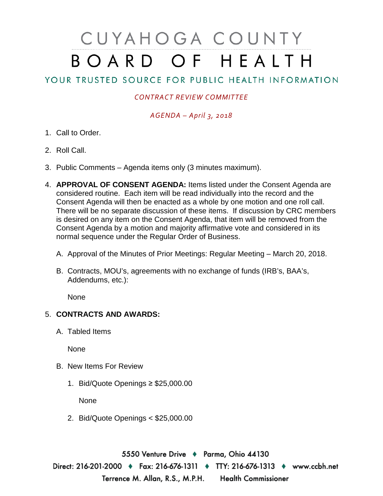# CUYAHOGA COUNTY BOARD OF HEALTH

## YOUR TRUSTED SOURCE FOR PUBLIC HEALTH INFORMATION

#### *CONTRACT REVIEW COMMITTEE*

#### *AGENDA – April 3, 2018*

- 1. Call to Order.
- 2. Roll Call.
- 3. Public Comments Agenda items only (3 minutes maximum).
- 4. **APPROVAL OF CONSENT AGENDA:** Items listed under the Consent Agenda are considered routine. Each item will be read individually into the record and the Consent Agenda will then be enacted as a whole by one motion and one roll call. There will be no separate discussion of these items. If discussion by CRC members is desired on any item on the Consent Agenda, that item will be removed from the Consent Agenda by a motion and majority affirmative vote and considered in its normal sequence under the Regular Order of Business.
	- A. Approval of the Minutes of Prior Meetings: Regular Meeting March 20, 2018.
	- B. Contracts, MOU's, agreements with no exchange of funds (IRB's, BAA's, Addendums, etc.):

None

### 5. **CONTRACTS AND AWARDS:**

A. Tabled Items

None

- B. New Items For Review
	- 1. Bid/Quote Openings ≥ \$25,000.00

None

2. Bid/Quote Openings < \$25,000.00

5550 Venture Drive + Parma, Ohio 44130 Direct: 216-201-2000 ♦ Fax: 216-676-1311 ♦ TTY: 216-676-1313 ♦ www.ccbh.net Terrence M. Allan, R.S., M.P.H. Health Commissioner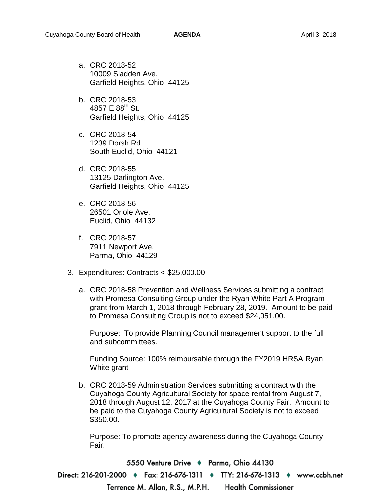- a. CRC 2018-52 10009 Sladden Ave. Garfield Heights, Ohio 44125
- b. CRC 2018-53 4857 E  $88^{th}$  St. Garfield Heights, Ohio 44125
- c. CRC 2018-54 1239 Dorsh Rd. South Euclid, Ohio 44121
- d. CRC 2018-55 13125 Darlington Ave. Garfield Heights, Ohio 44125
- e. CRC 2018-56 26501 Oriole Ave. Euclid, Ohio 44132
- f. CRC 2018-57 7911 Newport Ave. Parma, Ohio 44129
- 3. Expenditures: Contracts < \$25,000.00
	- a. CRC 2018-58 Prevention and Wellness Services submitting a contract with Promesa Consulting Group under the Ryan White Part A Program grant from March 1, 2018 through February 28, 2019. Amount to be paid to Promesa Consulting Group is not to exceed \$24,051.00.

Purpose: To provide Planning Council management support to the full and subcommittees.

Funding Source: 100% reimbursable through the FY2019 HRSA Ryan White grant

b. CRC 2018-59 Administration Services submitting a contract with the Cuyahoga County Agricultural Society for space rental from August 7, 2018 through August 12, 2017 at the Cuyahoga County Fair. Amount to be paid to the Cuyahoga County Agricultural Society is not to exceed \$350.00.

Purpose: To promote agency awareness during the Cuyahoga County Fair.

5550 Venture Drive → Parma, Ohio 44130 Direct: 216-201-2000 ♦ Fax: 216-676-1311 ♦ TTY: 216-676-1313 ♦ www.ccbh.net Terrence M. Allan, R.S., M.P.H. **Health Commissioner**